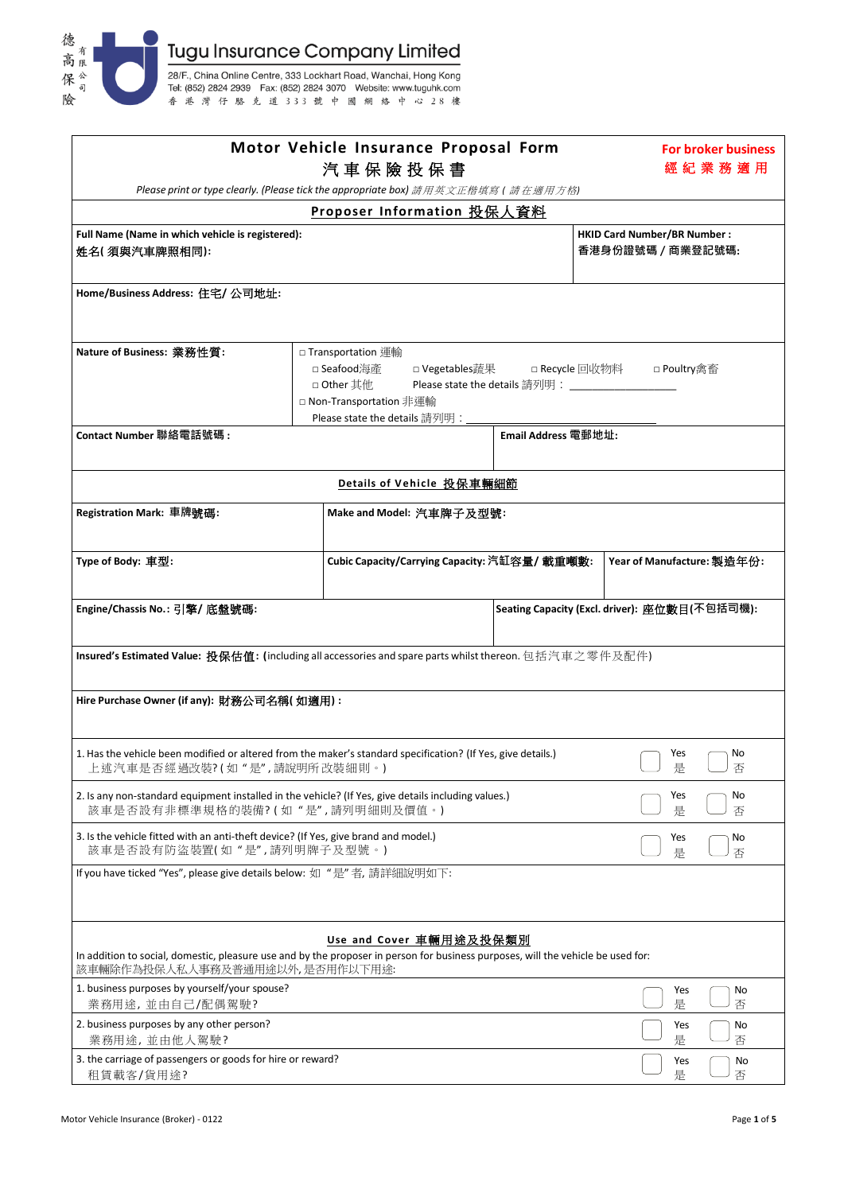

| Motor Vehicle Insurance Proposal Form                                                                                                                               |                                                         | <b>For broker business</b><br>經紀業務適用                                                                                                                                                                            |                     |                            |  |  |  |  |  |  |  |
|---------------------------------------------------------------------------------------------------------------------------------------------------------------------|---------------------------------------------------------|-----------------------------------------------------------------------------------------------------------------------------------------------------------------------------------------------------------------|---------------------|----------------------------|--|--|--|--|--|--|--|
| 汽車保險投保書<br>Please print or type clearly. (Please tick the appropriate box) 請用英文正楷填寫 ( 請在適用方格)                                                                       |                                                         |                                                                                                                                                                                                                 |                     |                            |  |  |  |  |  |  |  |
|                                                                                                                                                                     |                                                         | Proposer Information 投保人資料                                                                                                                                                                                      |                     |                            |  |  |  |  |  |  |  |
| Full Name (Name in which vehicle is registered):<br>姓名(須與汽車牌照相同):                                                                                                   | <b>HKID Card Number/BR Number:</b><br>香港身份證號碼 / 商業登記號碼: |                                                                                                                                                                                                                 |                     |                            |  |  |  |  |  |  |  |
| Home/Business Address: 住宅/ 公司地址:                                                                                                                                    |                                                         |                                                                                                                                                                                                                 |                     |                            |  |  |  |  |  |  |  |
| Nature of Business: 業務性質:                                                                                                                                           |                                                         | □ Transportation 運輸<br>□ Seafood海產<br>□ Vegetables蔬果<br>□ Recycle 回收物料<br>□ Poultry禽畜<br>Please state the details 請列明: _____________<br>□ Other 其他<br>□ Non-Transportation 非運輸<br>Please state the details 請列明: |                     |                            |  |  |  |  |  |  |  |
| Contact Number 聯絡電話號碼:                                                                                                                                              |                                                         |                                                                                                                                                                                                                 | Email Address 電郵地址: |                            |  |  |  |  |  |  |  |
|                                                                                                                                                                     |                                                         |                                                                                                                                                                                                                 |                     |                            |  |  |  |  |  |  |  |
|                                                                                                                                                                     |                                                         | Details of Vehicle 投保車輛細節                                                                                                                                                                                       |                     |                            |  |  |  |  |  |  |  |
| Registration Mark: 車牌號碼:                                                                                                                                            |                                                         | Make and Model: 汽車牌子及型號:                                                                                                                                                                                        |                     |                            |  |  |  |  |  |  |  |
| Type of Body: 車型:                                                                                                                                                   |                                                         | Cubic Capacity/Carrying Capacity: 汽缸容量/ 載重噸數:                                                                                                                                                                   |                     | Year of Manufacture: 製造年份: |  |  |  |  |  |  |  |
| Engine/Chassis No.: 引擎/ 底盤號碼:                                                                                                                                       |                                                         | Seating Capacity (Excl. driver): 座位數目(不包括司機):                                                                                                                                                                   |                     |                            |  |  |  |  |  |  |  |
| Insured's Estimated Value: 投保估值: (including all accessories and spare parts whilst thereon. 包括汽車之零件及配件)                                                             |                                                         |                                                                                                                                                                                                                 |                     |                            |  |  |  |  |  |  |  |
| Hire Purchase Owner (if any): 財務公司名稱( 如適用) :                                                                                                                        |                                                         |                                                                                                                                                                                                                 |                     |                            |  |  |  |  |  |  |  |
| 1. Has the vehicle been modified or altered from the maker's standard specification? (If Yes, give details.)<br>Yes<br>No<br>上述汽車是否經過改裝?(如"是",請說明所改裝細則。)<br>是<br>」香 |                                                         |                                                                                                                                                                                                                 |                     |                            |  |  |  |  |  |  |  |
| 2. Is any non-standard equipment installed in the vehicle? (If Yes, give details including values.)<br>Yes<br>是<br>該車是否設有非標準規格的裝備?(如"是",請列明細則及價值。)                  |                                                         |                                                                                                                                                                                                                 |                     |                            |  |  |  |  |  |  |  |
| 3. Is the vehicle fitted with an anti-theft device? (If Yes, give brand and model.)<br>該車是否設有防盜裝置(如"是",請列明牌子及型號。)                                                   | Yes<br>No<br>是<br>否                                     |                                                                                                                                                                                                                 |                     |                            |  |  |  |  |  |  |  |
| If you have ticked "Yes", please give details below: 如 "是"者, 請詳細說明如下:                                                                                               |                                                         |                                                                                                                                                                                                                 |                     |                            |  |  |  |  |  |  |  |
| In addition to social, domestic, pleasure use and by the proposer in person for business purposes, will the vehicle be used for:<br>該車輛除作為投保人私人事務及普通用途以外,是否用作以下用途:  |                                                         | Use and Cover 車輛用途及投保類別                                                                                                                                                                                         |                     |                            |  |  |  |  |  |  |  |
| 1. business purposes by yourself/your spouse?<br>業務用途,並由自己/配偶駕駛?                                                                                                    | Yes<br>No<br>是<br>否                                     |                                                                                                                                                                                                                 |                     |                            |  |  |  |  |  |  |  |
| 2. business purposes by any other person?<br>業務用途,並由他人駕駛?                                                                                                           |                                                         | Yes<br>No<br>是<br>否                                                                                                                                                                                             |                     |                            |  |  |  |  |  |  |  |
| 3. the carriage of passengers or goods for hire or reward?<br>租賃載客/貨用途?                                                                                             | Yes<br>No<br>是<br>否                                     |                                                                                                                                                                                                                 |                     |                            |  |  |  |  |  |  |  |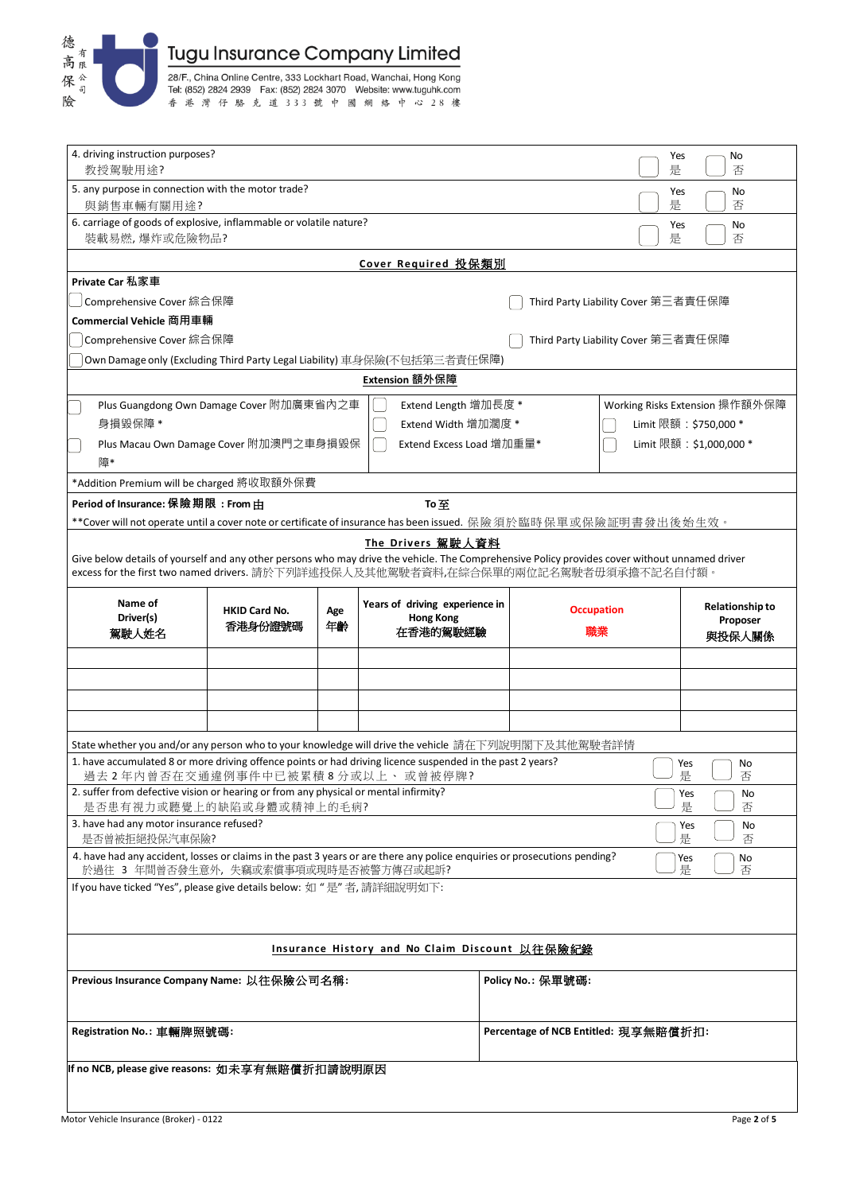

| 4. driving instruction purposes?<br>教授駕駛用途?                                                                                                                                                                                          |                                 |           |                                                                |                                                         |                                      | Yes<br>是                            | No<br>否                                      |  |  |  |
|--------------------------------------------------------------------------------------------------------------------------------------------------------------------------------------------------------------------------------------|---------------------------------|-----------|----------------------------------------------------------------|---------------------------------------------------------|--------------------------------------|-------------------------------------|----------------------------------------------|--|--|--|
| 5. any purpose in connection with the motor trade?<br>與銷售車輛有關用途?                                                                                                                                                                     |                                 |           |                                                                |                                                         |                                      | Yes<br>是                            | No<br>否                                      |  |  |  |
| 6. carriage of goods of explosive, inflammable or volatile nature?                                                                                                                                                                   |                                 |           | Yes                                                            | No                                                      |                                      |                                     |                                              |  |  |  |
| 裝載易燃,爆炸或危險物品?                                                                                                                                                                                                                        |                                 |           |                                                                | 是                                                       | 否                                    |                                     |                                              |  |  |  |
|                                                                                                                                                                                                                                      |                                 |           | Cover Required 投保類別                                            |                                                         |                                      |                                     |                                              |  |  |  |
| Private Car 私家車                                                                                                                                                                                                                      |                                 |           |                                                                |                                                         |                                      |                                     |                                              |  |  |  |
| Comprehensive Cover 綜合保障<br>Third Party Liability Cover 第三者責任保障                                                                                                                                                                      |                                 |           |                                                                |                                                         |                                      |                                     |                                              |  |  |  |
| Commercial Vehicle 商用車輛                                                                                                                                                                                                              |                                 |           |                                                                |                                                         |                                      |                                     |                                              |  |  |  |
| Comprehensive Cover 綜合保障                                                                                                                                                                                                             |                                 |           |                                                                |                                                         |                                      | Third Party Liability Cover 第三者責任保障 |                                              |  |  |  |
| Own Damage only (Excluding Third Party Legal Liability) 車身保險(不包括第三者責任保障)                                                                                                                                                             |                                 |           |                                                                |                                                         |                                      |                                     |                                              |  |  |  |
|                                                                                                                                                                                                                                      |                                 |           | Extension 額外保障                                                 |                                                         |                                      |                                     |                                              |  |  |  |
| Plus Guangdong Own Damage Cover 附加廣東省內之車<br>身損毀保障 *                                                                                                                                                                                  |                                 |           | Extend Length 增加長度 *<br>Extend Width 增加濶度 *                    | Working Risks Extension 操作額外保障<br>Limit 限額: \$750,000 * |                                      |                                     |                                              |  |  |  |
| Plus Macau Own Damage Cover 附加澳門之車身損毀保<br>障*                                                                                                                                                                                         |                                 |           | Extend Excess Load 增加重量*                                       |                                                         |                                      |                                     | Limit 限額: \$1,000,000 *                      |  |  |  |
| *Addition Premium will be charged 將收取額外保費                                                                                                                                                                                            |                                 |           |                                                                |                                                         |                                      |                                     |                                              |  |  |  |
| Period of Insurance: 保險期限: From 由                                                                                                                                                                                                    |                                 |           | To至                                                            |                                                         |                                      |                                     |                                              |  |  |  |
| **Cover will not operate until a cover note or certificate of insurance has been issued. 保險須於臨時保單或保險証明書發出後始生效。                                                                                                                       |                                 |           |                                                                |                                                         |                                      |                                     |                                              |  |  |  |
|                                                                                                                                                                                                                                      |                                 |           | The Drivers 駕駛人資料                                              |                                                         |                                      |                                     |                                              |  |  |  |
| Give below details of yourself and any other persons who may drive the vehicle. The Comprehensive Policy provides cover without unnamed driver<br>excess for the first two named drivers. 請於下列詳述投保人及其他駕駛者資料,在綜合保單的兩位記名駕駛者毋須承擔不記名自付額。 |                                 |           |                                                                |                                                         |                                      |                                     |                                              |  |  |  |
| Name of<br>Driver(s)<br>駕駛人姓名                                                                                                                                                                                                        | <b>HKID Card No.</b><br>香港身份證號碼 | Age<br>年齢 | Years of driving experience in<br><b>Hong Kong</b><br>在香港的駕駛經驗 |                                                         | <b>Occupation</b><br>職業              |                                     | <b>Relationship to</b><br>Proposer<br>與投保人關係 |  |  |  |
|                                                                                                                                                                                                                                      |                                 |           |                                                                |                                                         |                                      |                                     |                                              |  |  |  |
|                                                                                                                                                                                                                                      |                                 |           |                                                                |                                                         |                                      |                                     |                                              |  |  |  |
|                                                                                                                                                                                                                                      |                                 |           |                                                                |                                                         |                                      |                                     |                                              |  |  |  |
|                                                                                                                                                                                                                                      |                                 |           |                                                                |                                                         |                                      |                                     |                                              |  |  |  |
|                                                                                                                                                                                                                                      |                                 |           |                                                                |                                                         |                                      |                                     |                                              |  |  |  |
| State whether you and/or any person who to your knowledge will drive the vehicle 請在下列說明閣下及其他駕駛者詳情                                                                                                                                    |                                 |           |                                                                |                                                         |                                      |                                     |                                              |  |  |  |
| 1. have accumulated 8 or more driving offence points or had driving licence suspended in the past 2 years?<br>過去2年內曾否在交通違例事件中已被累積8分或以上、或曾被停牌?                                                                                        |                                 |           |                                                                |                                                         |                                      |                                     | Yes<br>No<br>是<br>否                          |  |  |  |
| 2. suffer from defective vision or hearing or from any physical or mental infirmity?                                                                                                                                                 |                                 |           |                                                                |                                                         |                                      |                                     | Yes<br>No                                    |  |  |  |
| 是否患有視力或聽覺上的缺陷或身體或精神上的毛病?<br>3. have had any motor insurance refused?                                                                                                                                                                 |                                 |           |                                                                |                                                         |                                      |                                     | 是<br>否<br>Yes<br>No                          |  |  |  |
| 是否曾被拒絕投保汽車保險?                                                                                                                                                                                                                        |                                 |           |                                                                |                                                         |                                      |                                     | 是<br>否                                       |  |  |  |
| 4. have had any accident, losses or claims in the past 3 years or are there any police enquiries or prosecutions pending?<br>於過往 3 年間曾否發生意外,失竊或索償事項或現時是否被警方傳召或起訴?                                                                    |                                 |           |                                                                |                                                         |                                      |                                     | Yes<br>No<br>是<br>否                          |  |  |  |
| If you have ticked "Yes", please give details below: 如 "是"者, 請詳細說明如下:                                                                                                                                                                |                                 |           |                                                                |                                                         |                                      |                                     |                                              |  |  |  |
|                                                                                                                                                                                                                                      |                                 |           |                                                                |                                                         |                                      |                                     |                                              |  |  |  |
|                                                                                                                                                                                                                                      |                                 |           | Insurance History and No Claim Discount 以往保險紀錄                 |                                                         |                                      |                                     |                                              |  |  |  |
| Previous Insurance Company Name: 以往保險公司名稱:                                                                                                                                                                                           |                                 |           |                                                                |                                                         | Policy No.: 保單號碼:                    |                                     |                                              |  |  |  |
| Registration No.: 車輛牌照號碼:                                                                                                                                                                                                            |                                 |           |                                                                |                                                         | Percentage of NCB Entitled: 現享無賠償折扣: |                                     |                                              |  |  |  |
|                                                                                                                                                                                                                                      |                                 |           |                                                                |                                                         |                                      |                                     |                                              |  |  |  |
| If no NCB, please give reasons: 如未享有無賠償折扣請說明原因                                                                                                                                                                                       |                                 |           |                                                                |                                                         |                                      |                                     |                                              |  |  |  |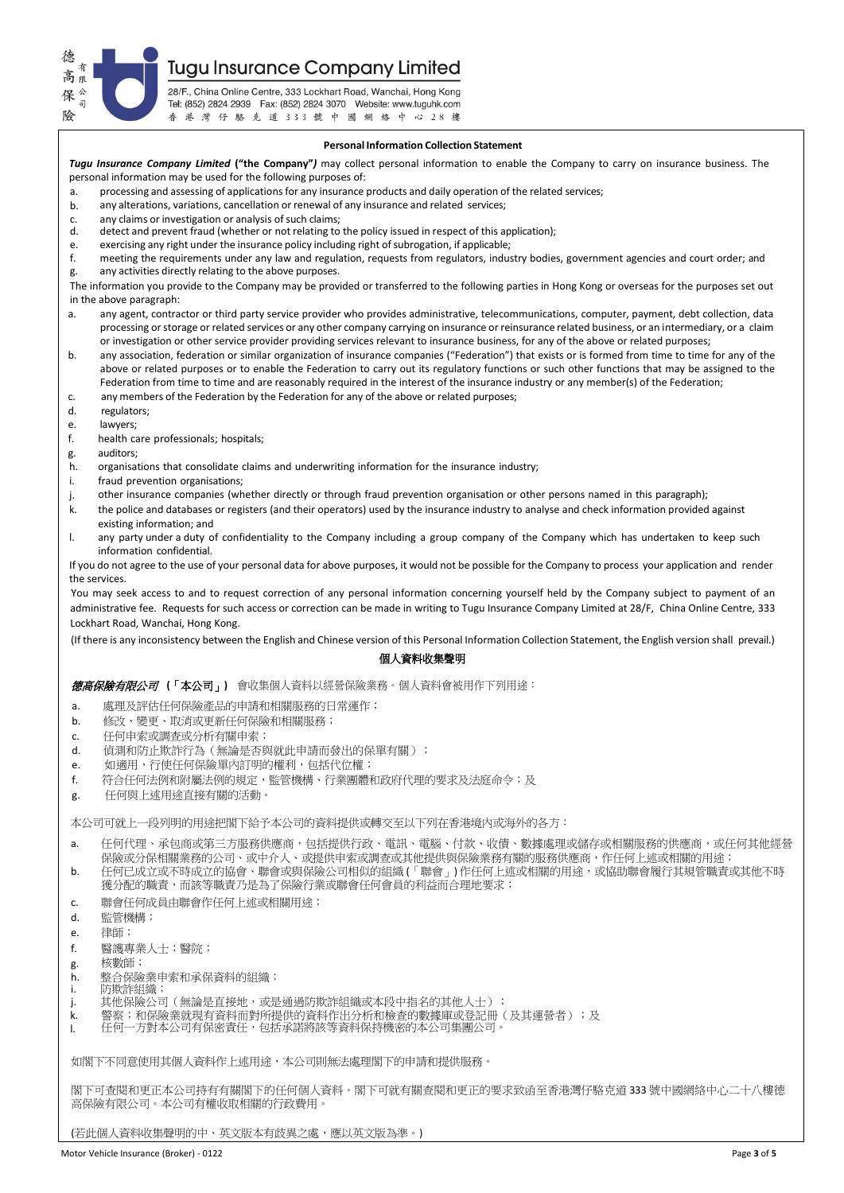**Tugu Insurance Company Limited** 

德 高 保  $\overline{a}$ 險

28/F., China Online Centre, 333 Lockhart Road, Wanchai, Hong Kong Tel: (852) 2824 2939 Fax: (852) 2824 3070 Website: www.tuguhk.com 香港灣仔駱克道333號中國網絡中心28樓

# **Personal Information Collection Statement**

*Tugu Insurance Company Limited* **("the Company"***)* may collect personal information to enable the Company to carry on insurance business. The personal information may be used for the following purposes of:

a. processing and assessing of applications for any insurance products and daily operation of the related services;

- b. any alterations, variations, cancellation or renewal of any insurance and related services;
- c. any claims or investigation or analysis of such claims;<br>d. detect and prevent fraud (whether or not relating to
- detect and prevent fraud (whether or not relating to the policy issued in respect of this application);
- e. exercising any right under the insurance policy including right of subrogation, if applicable;<br>f. meeting the requirements under any law and regulation, requests from regulators, indus
- meeting the requirements under any law and regulation, requests from regulators, industry bodies, government agencies and court order; and g. any activities directly relating to the above purposes.

The information you provide to the Company may be provided or transferred to the following parties in Hong Kong or overseas for the purposes set out in the above paragraph:

- a. any agent, contractor or third party service provider who provides administrative, telecommunications, computer, payment, debt collection, data processing or storage or related services or any other company carrying on insurance or reinsurance related business, or an intermediary, or a claim or investigation or other service provider providing services relevant to insurance business, for any of the above or related purposes;
- b. any association, federation or similar organization of insurance companies ("Federation") that exists or is formed from time to time for any of the above or related purposes or to enable the Federation to carry out its regulatory functions or such other functions that may be assigned to the Federation from time to time and are reasonably required in the interest of the insurance industry or any member(s) of the Federation:
- c. any members of the Federation by the Federation for any of the above or related purposes;<br>d. regulators:
- regulators;
- e. lawyers;<br>f. health ca
- health care professionals; hospitals;
- g. auditors;
- h. organisations that consolidate claims and underwriting information for the insurance industry;
- i. fraud prevention organisations;
- j. other insurance companies (whether directly or through fraud prevention organisation or other persons named in this paragraph);
- k. the police and databases or registers (and their operators) used by the insurance industry to analyse and check information provided against existing information; and
- l. any party under a duty of confidentiality to the Company including a group company of the Company which has undertaken to keep such information confidential.

If you do not agree to the use of your personal data for above purposes, it would not be possible for the Company to process your application and render the services.

You may seek access to and to request correction of any personal information concerning yourself held by the Company subject to payment of an administrative fee. Requests for such access or correction can be made in writing to Tugu Insurance Company Limited at 28/F, China Online Centre, 333 Lockhart Road, Wanchai, Hong Kong.

(If there is any inconsistency between the English and Chinese version of this Personal Information Collection Statement, the English version shall prevail.)

# 個人資料收集聲明

德高保險有限公司**(**「本公司」**)** 會收集個人資料以經營保險業務。個人資料會被用作下列用途:

- a. 處理及評估任何保險產品的申請和相關服務的日常運作;
- b. 修改、變更、取消或更新任何保險和相關服務;
- c. 任何申索或調查或分析有關申索;
- d. 偵測和防止欺詐行為(無論是否與就此申請而發出的保單有關);
- e. 如適用,行使任何保險單內訂明的權利,包括代位權;
- f. 符合任何法例和附屬法例的規定,監管機構、行業團體和政府代理的要求及法庭命令;及
- g. 任何與上述用途直接有關的活動。

本公司可就上一段列明的用途把閣下給予本公司的資料提供或轉交至以下列在香港境內或海外的各方:

- a. 任何代理、承包商或第三方服務供應商,包括提供行政、電訊、電腦、付款、收債、數據處理或儲存或相關服務的供應商,或任何其他經營 保險或分保相關業務的公司、或中介人、或提供申索或調查或其他提供與保險業務有關的服務供應商,作任何上述或相關的用途;
- b. 任何已成立或不時成立的協會、聯會或與保險公司相似的組織 (「聯會」) 作任何上述或相關的用途,或協助聯會履行其規管職責或其他不時 獲分配的職責,而該等職責乃是為了保險行業或聯會任何會員的利益而合理地要求;
- c. 聯會任何成員由聯會作任何上述或相關用途;
- d. 監管機構;
- e. 律師;
- f. 醫護專業人士;醫院;
- g. 核數師;
- h. 整合保險業申索和承保資料的組織;
- i. 防欺詐組織;
- j. 其他保險公司(無論是直接地,或是通過防欺詐組織或本段中指名的其他人士);
- .<br>k. 警察;和保險業就現有資料而對所提供的資料作出分析和檢查的數據庫或登記冊(及其運營者);及<br>1. 任何一方對本公司有保密責任,包括承諾將該等資料保持機密的本公司集團公司。
- l. 任何一方對本公司有保密責任,包括承諾將該等資料保持機密的本公司集團公司。

如閣下不同意使用其個人資料作上述用途,本公司則無法處理閣下的申請和提供服務。

閣下可查閱和更正本公司持有有關閣下的任何個人資料。閣下可就有關查閱和更正的要求致函至香港灣仔駱克道 333 號中國網絡中心二十八樓德 高保險有限公司。本公司有權收取相關的行政費用

(若此個人資料收集聲明的中、英文版本有歧異之處,應以英文版為準。)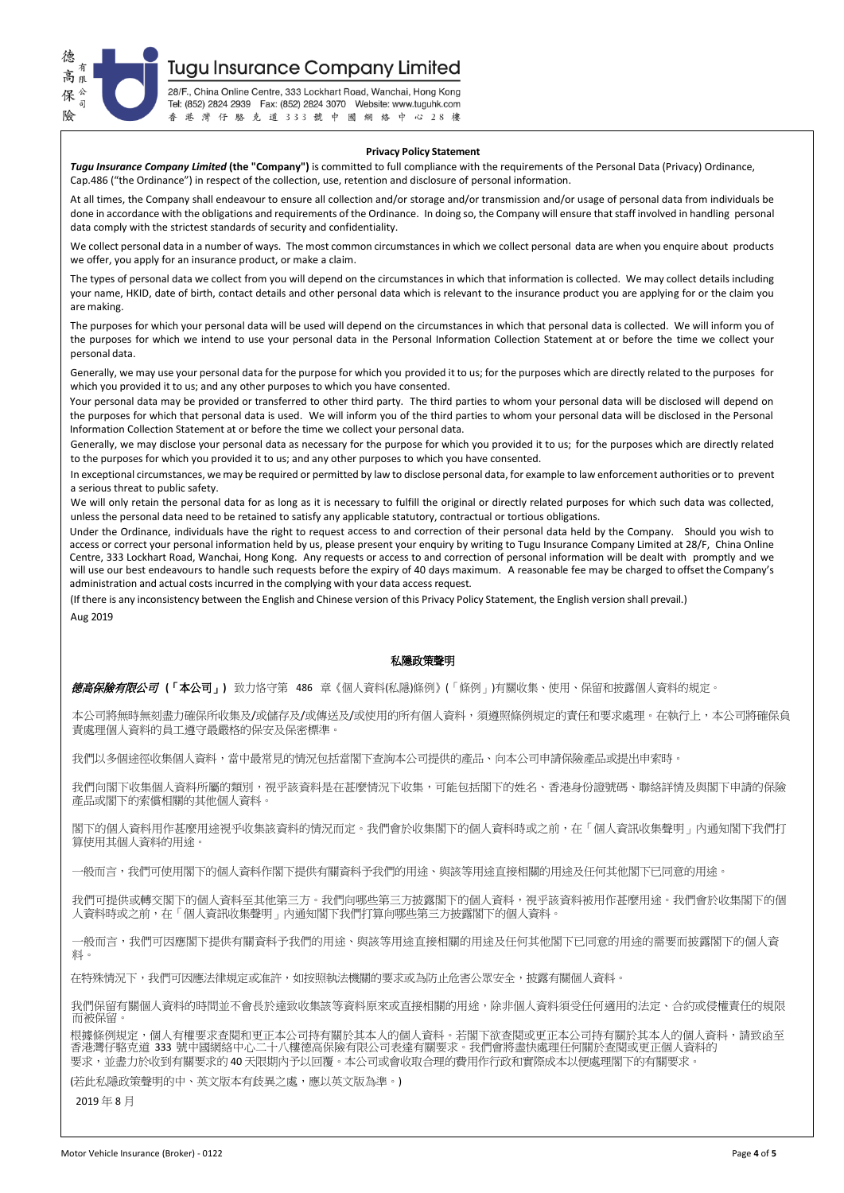

**Tugu Insurance Company Limited** 

28/F., China Online Centre, 333 Lockhart Road, Wanchai, Hong Kong Tel: (852) 2824 2939 Fax: (852) 2824 3070 Website: www.tuguhk.com 香港灣仔駱克道333號中國網絡中心28樓

#### **Privacy Policy Statement**

*Tugu Insurance Company Limited* **(the "Company")** is committed to full compliance with the requirements of the Personal Data (Privacy) Ordinance, Cap.486 ("the Ordinance") in respect of the collection, use, retention and disclosure of personal information.

At all times, the Company shall endeavour to ensure all collection and/or storage and/or transmission and/or usage of personal data from individuals be done in accordance with the obligations and requirements of the Ordinance. In doing so, the Company will ensure that staff involved in handling personal data comply with the strictest standards of security and confidentiality.

We collect personal data in a number of ways. The most common circumstances in which we collect personal data are when you enquire about products we offer, you apply for an insurance product, or make a claim.

The types of personal data we collect from you will depend on the circumstances in which that information is collected. We may collect details including your name, HKID, date of birth, contact details and other personal data which is relevant to the insurance product you are applying for or the claim you are making.

The purposes for which your personal data will be used will depend on the circumstances in which that personal data is collected. We will inform you of the purposes for which we intend to use your personal data in the Personal Information Collection Statement at or before the time we collect your personal data.

Generally, we may use your personal data for the purpose for which you provided it to us; for the purposes which are directly related to the purposes for which you provided it to us; and any other purposes to which you have consented.

Your personal data may be provided or transferred to other third party. The third parties to whom your personal data will be disclosed will depend on the purposes for which that personal data is used. We will inform you of the third parties to whom your personal data will be disclosed in the Personal Information Collection Statement at or before the time we collect your personal data.

Generally, we may disclose your personal data as necessary for the purpose for which you provided it to us; for the purposes which are directly related to the purposes for which you provided it to us; and any other purposes to which you have consented.

In exceptional circumstances, we may be required or permitted by law to disclose personal data, for example to law enforcement authorities or to prevent a serious threat to public safety.

We will only retain the personal data for as long as it is necessary to fulfill the original or directly related purposes for which such data was collected, unless the personal data need to be retained to satisfy any applicable statutory, contractual or tortious obligations.

Under the Ordinance, individuals have the right to request access to and correction of their personal data held by the Company. Should you wish to access or correct your personal information held by us, please present your enquiry by writing to Tugu Insurance Company Limited at 28/F, China Online Centre, 333 Lockhart Road, Wanchai, Hong Kong. Any requests or access to and correction of personal information will be dealt with promptly and we will use our best endeavours to handle such requests before the expiry of 40 days maximum. A reasonable fee may be charged to offset the Company's administration and actual costs incurred in the complying with your data access request.

(If there is any inconsistency between the English and Chinese version of this Privacy Policy Statement, the English version shall prevail.) Aug 2019

# 私隱政策聲明

德高保險有限公司 **(**「本公司」**)** 致力恪守第 486 章《個人資料(私隱)條例》(「條例」)有關收集、使用、保留和披露個人資料的規定。

本公司將無時無刻盡力確保所收集及/或儲存及/或傳送及/或使用的所有個人資料,須遵照條例規定的責任和要求處理。在執行上,本公司將確保負 責處理個人資料的員工遵守最嚴格的保安及保密標準。

我們以多個途徑收集個人資料,當中最常見的情況包括當閣下查詢本公司提供的產品、向本公司申請保險產品或提出申索時。

我們向閣下收集個人資料所屬的類別,視乎該資料是在甚麼情況下收集,可能包括閣下的姓名、香港身份證號碼、聯絡詳情及與閣下申請的保險 產品或閣下的索償相關的其他個人資料。

閣下的個人資料用作甚麼用途視乎收集該資料的情況而定。我們會於收集閣下的個人資料時或之前,在「個人資訊收集聲明」內通知閣下我們打 算使用其個人資料的用途。

-般而言,我們可使用閣下的個人資料作閣下提供有關資料予我們的用途、與該等用途直接相關的用途及任何其他閣下已同意的用途。

我們可提供或轉交閣下的個人資料至其他第三方。我們向哪些第三方披露閣下的個人資料,視乎該資料被用作甚麼用途。我們會於收集閣下的個 人資料時或之前,在「個人資訊收集聲明」內通知閣下我們打算向哪些第三方披露閣下的個人資料。

一般而言,我們可因應閣下提供有關資料予我們的用途、與該等用途直接相關的用途及任何其他閣下已同意的用途的需要而披露閣下的個人資 料。

在特殊情況下,我們可因應法律規定或准許,如按照執法機關的要求或為防止危害公眾安全,披露有關個人資料。

我們保留有關個人資料的時間並不會長於達致收集該等資料原來或直接相關的用途,除非個人資料須受任何適用的法定、合約或侵權責任的規限 而被保留。

根據條例規定,個人有權要求查閱和更正本公司持有關於其本人的個人資料。若閣下欲查閱或更正本公司持有關於其本人的個人資料,請致函至 香港灣仔駱克道 333 號中國網絡中心二十八樓德高保險有限公司表達有關要求。我們會將盡快處理任何關於查閱或更正個人資料的 要求,並盡力於收到有關要求的 40 天限期內予以回覆。本公司或會收取合理的費用作行政和實際成本以便處理閣下的有關要求。

(若此私隱政策聲明的中、英文版本有歧異之處,應以英文版為準。)

2019 年 8 月